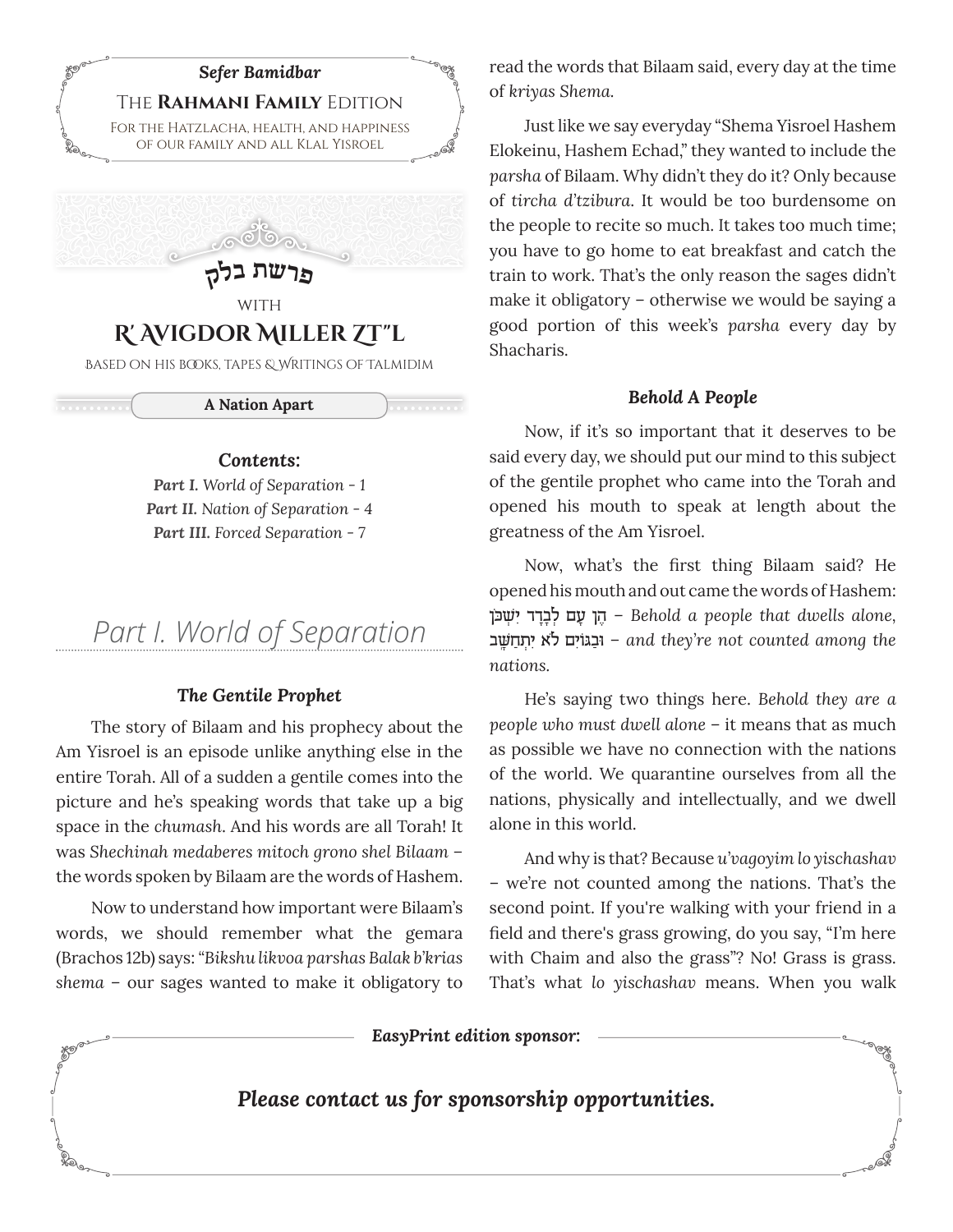

. . . . . . . . .

**CONSTRUCTION** 

**A Nation Apart** . . . . . . . . .

#### *Contents:*

*Part I. World of Separation - 1 Part II. Nation of Separation - 4 Part III. Forced Separation - 7*

# *Part I. World of Separation*

#### *The Gentile Prophet*

The story of Bilaam and his prophecy about the Am Yisroel is an episode unlike anything else in the entire Torah. All of a sudden a gentile comes into the picture and he's speaking words that take up a big space in the *chumash*. And his words are all Torah! It was *Shechinah medaberes mitoch grono shel Bilaam –*  the words spoken by Bilaam are the words of Hashem.

Now to understand how important were Bilaam's words, we should remember what the gemara (Brachos 12b) says: *"Bikshu likvoa parshas Balak b'krias shema* – our sages wanted to make it obligatory to

read the words that Bilaam said, every day at the time of *kriyas Shema.*

Just like we say everyday "Shema Yisroel Hashem Elokeinu, Hashem Echad," they wanted to include the *parsha* of Bilaam. Why didn't they do it? Only because of *tircha d'tzibura*. It would be too burdensome on the people to recite so much. It takes too much time; you have to go home to eat breakfast and catch the train to work. That's the only reason the sages didn't make it obligatory – otherwise we would be saying a good portion of this week's *parsha* every day by Shacharis.

#### *Behold A People*

Now, if it's so important that it deserves to be said every day, we should put our mind to this subject of the gentile prophet who came into the Torah and opened his mouth to speak at length about the greatness of the Am Yisroel.

Now, what's the first thing Bilaam said? He opened his mouth and out came the words of Hashem: כןֹ ּ¿˘ ׁ יƒ ""ָבָל ¿עםָ הן – ∆*Behold a people that dwells alone,* ב˘ֽ ָּׁ חַ ¿˙יƒ ‡ֹל יםƒוֹ'ּ בַוּ – *and they're not counted among the nations.*

He's saying two things here. *Behold they are a people who must dwell alone* – it means that as much as possible we have no connection with the nations of the world. We quarantine ourselves from all the nations, physically and intellectually, and we dwell alone in this world.

And why is that? Because *u'vagoyim lo yischashav* – we're not counted among the nations. That's the second point. If you're walking with your friend in a field and there's grass growing, do you say, "I'm here with Chaim and also the grass"? No! Grass is grass. That's what *lo yischashav* means. When you walk

*EasyPrint edition sponsor:*

*Please contact us for sponsorship opportunities.*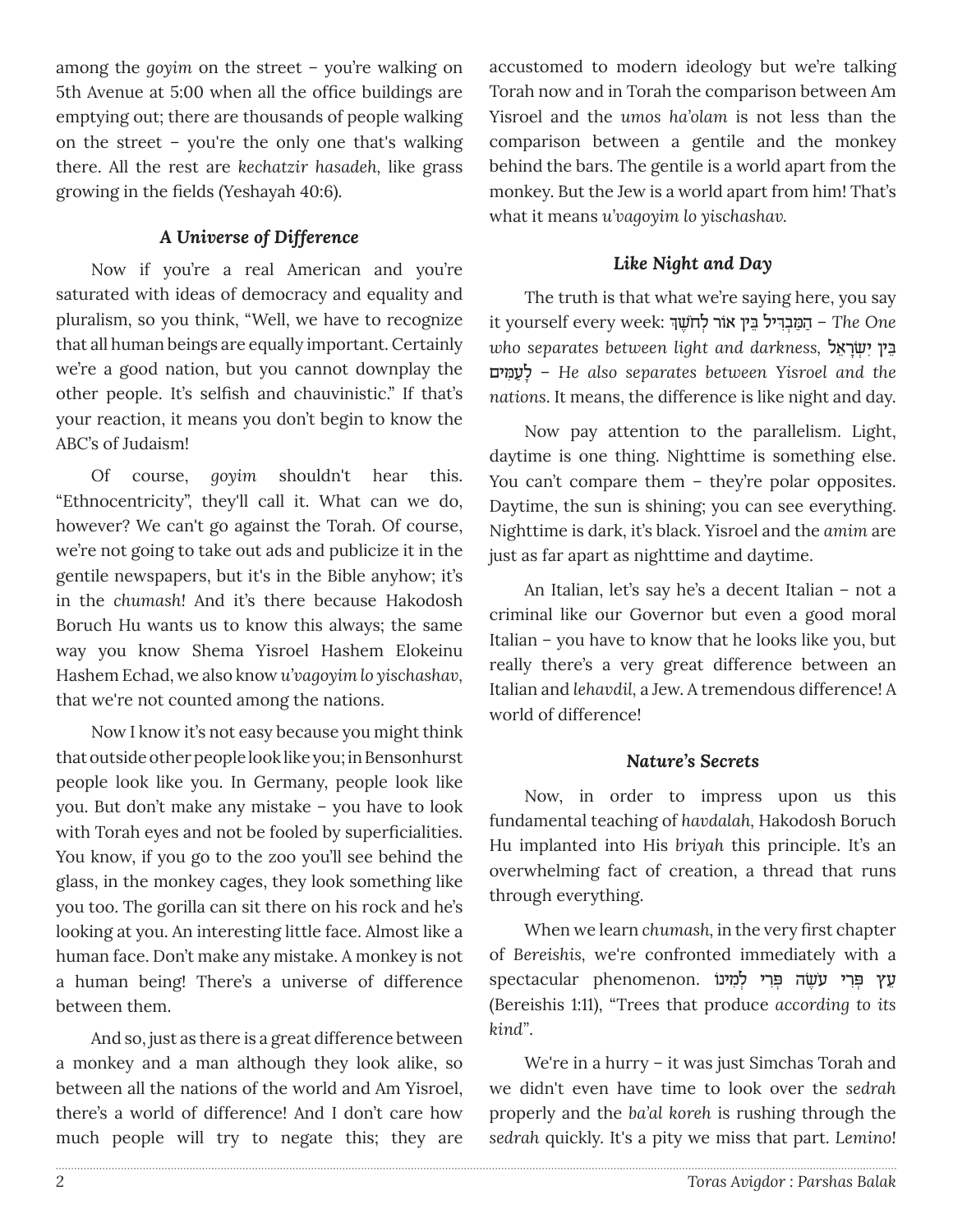among the *goyim* on the street – you're walking on 5th Avenue at 5:00 when all the office buildings are emptying out; there are thousands of people walking on the street – you're the only one that's walking there. All the rest are *kechatzir hasadeh,* like grass growing in the fields (Yeshayah 40:6).

# *A Universe of Difference*

Now if you're a real American and you're saturated with ideas of democracy and equality and pluralism, so you think, "Well, we have to recognize that all human beings are equally important. Certainly we're a good nation, but you cannot downplay the other people. It's selfish and chauvinistic." If that's your reaction, it means you don't begin to know the ABC's of Judaism!

Of course, *goyim* shouldn't hear this. "Ethnocentricity", they'll call it. What can we do, however? We can't go against the Torah. Of course, we're not going to take out ads and publicize it in the gentile newspapers, but it's in the Bible anyhow; it's in the *chumash!* And it's there because Hakodosh Boruch Hu wants us to know this always; the same way you know Shema Yisroel Hashem Elokeinu Hashem Echad, we also know *u'vagoyim lo yischashav,* that we're not counted among the nations.

Now I know it's not easy because you might think that outside other people look like you; in Bensonhurst people look like you. In Germany, people look like you. But don't make any mistake – you have to look with Torah eyes and not be fooled by superficialities. You know, if you go to the zoo you'll see behind the glass, in the monkey cages, they look something like you too. The gorilla can sit there on his rock and he's looking at you. An interesting little face. Almost like a human face. Don't make any mistake. A monkey is not a human being! There's a universe of difference between them.

And so, just as there is a great difference between a monkey and a man although they look alike, so between all the nations of the world and Am Yisroel, there's a world of difference! And I don't care how much people will try to negate this; they are

accustomed to modern ideology but we're talking Torah now and in Torah the comparison between Am Yisroel and the *umos ha'olam* is not less than the comparison between a gentile and the monkey behind the bars. The gentile is a world apart from the monkey. But the Jew is a world apart from him! That's what it means *u'vagoyim lo yischashav.*

# *Like Night and Day*

The truth is that what we're saying here, you say it yourself every week: תַּמַּבְדִּיל **בֵּין אוֹר לְחֹשֶׁ**ךְ ל who separates between light and darkness, בין ישׂראל מיםƒּ עַלָ – *He also separates between Yisroel and the nations*. It means, the difference is like night and day.

Now pay attention to the parallelism. Light, daytime is one thing. Nighttime is something else. You can't compare them - they're polar opposites. Daytime, the sun is shining; you can see everything. Nighttime is dark, it's black. Yisroel and the *amim* are just as far apart as nighttime and daytime.

An Italian, let's say he's a decent Italian – not a criminal like our Governor but even a good moral Italian – you have to know that he looks like you, but really there's a very great difference between an Italian and *lehavdil,* a Jew. A tremendous difference! A world of difference!

# *Nature's Secrets*

Now, in order to impress upon us this fundamental teaching of *havdalah,* Hakodosh Boruch Hu implanted into His *briyah* this principle. It's an overwhelming fact of creation, a thread that runs through everything.

When we learn *chumash,* in the very first chapter of *Bereishis,* we're confronted immediately with a spectacular phenomenon. עֵץ פִּרִי עֹשֶׂה פִּרִי לִמְינוֹ (Bereishis 1:11), "Trees that produce *according to its kind"*.

We're in a hurry – it was just Simchas Torah and we didn't even have time to look over the *sedrah* properly and the *ba'al koreh* is rushing through the *sedrah* quickly. It's a pity we miss that part. *Lemino!*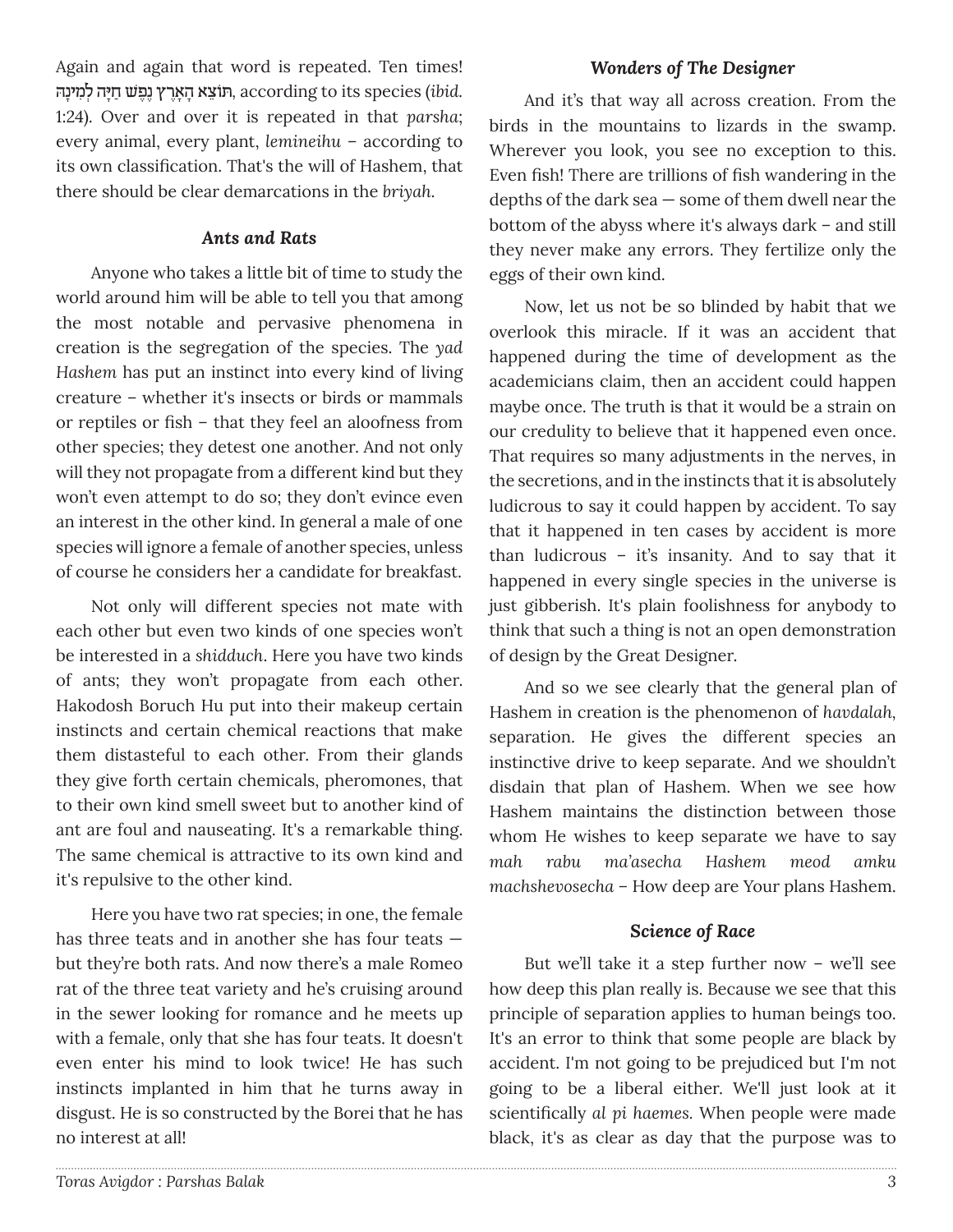Again and again that word is repeated. Ten times! תּוֹצֵא הָאָרֶץ נֶפֶּשׁ חַיָּה לְמִינָה, according to its species (i*bid.* 1:24). Over and over it is repeated in that *parsha*; every animal, every plant, *lemineihu* – according to its own classification. That's the will of Hashem, that there should be clear demarcations in the *briyah.*

### *Ants and Rats*

Anyone who takes a little bit of time to study the world around him will be able to tell you that among the most notable and pervasive phenomena in creation is the segregation of the species. The *yad Hashem* has put an instinct into every kind of living creature – whether it's insects or birds or mammals or reptiles or fish – that they feel an aloofness from other species; they detest one another. And not only will they not propagate from a different kind but they won't even attempt to do so; they don't evince even an interest in the other kind. In general a male of one species will ignore a female of another species, unless of course he considers her a candidate for breakfast.

Not only will different species not mate with each other but even two kinds of one species won't be interested in a *shidduch*. Here you have two kinds of ants; they won't propagate from each other. Hakodosh Boruch Hu put into their makeup certain instincts and certain chemical reactions that make them distasteful to each other. From their glands they give forth certain chemicals, pheromones, that to their own kind smell sweet but to another kind of ant are foul and nauseating. It's a remarkable thing. The same chemical is attractive to its own kind and it's repulsive to the other kind.

Here you have two rat species; in one, the female has three teats and in another she has four teats but they're both rats. And now there's a male Romeo rat of the three teat variety and he's cruising around in the sewer looking for romance and he meets up with a female, only that she has four teats. It doesn't even enter his mind to look twice! He has such instincts implanted in him that he turns away in disgust. He is so constructed by the Borei that he has no interest at all!

# *Wonders of The Designer*

And it's that way all across creation. From the birds in the mountains to lizards in the swamp. Wherever you look, you see no exception to this. Even fish! There are trillions of fish wandering in the depths of the dark sea — some of them dwell near the bottom of the abyss where it's always dark – and still they never make any errors. They fertilize only the eggs of their own kind.

Now, let us not be so blinded by habit that we overlook this miracle. If it was an accident that happened during the time of development as the academicians claim, then an accident could happen maybe once. The truth is that it would be a strain on our credulity to believe that it happened even once. That requires so many adjustments in the nerves, in the secretions, and in the instincts that it is absolutely ludicrous to say it could happen by accident. To say that it happened in ten cases by accident is more than ludicrous – it's insanity. And to say that it happened in every single species in the universe is just gibberish. It's plain foolishness for anybody to think that such a thing is not an open demonstration of design by the Great Designer.

And so we see clearly that the general plan of Hashem in creation is the phenomenon of *havdalah,*  separation. He gives the different species an instinctive drive to keep separate. And we shouldn't disdain that plan of Hashem. When we see how Hashem maintains the distinction between those whom He wishes to keep separate we have to say *mah rabu ma'asecha Hashem meod amku machshevosecha –* How deep are Your plans Hashem.

# *Science of Race*

But we'll take it a step further now – we'll see how deep this plan really is. Because we see that this principle of separation applies to human beings too. It's an error to think that some people are black by accident. I'm not going to be prejudiced but I'm not going to be a liberal either. We'll just look at it scientifically *al pi haemes.* When people were made black, it's as clear as day that the purpose was to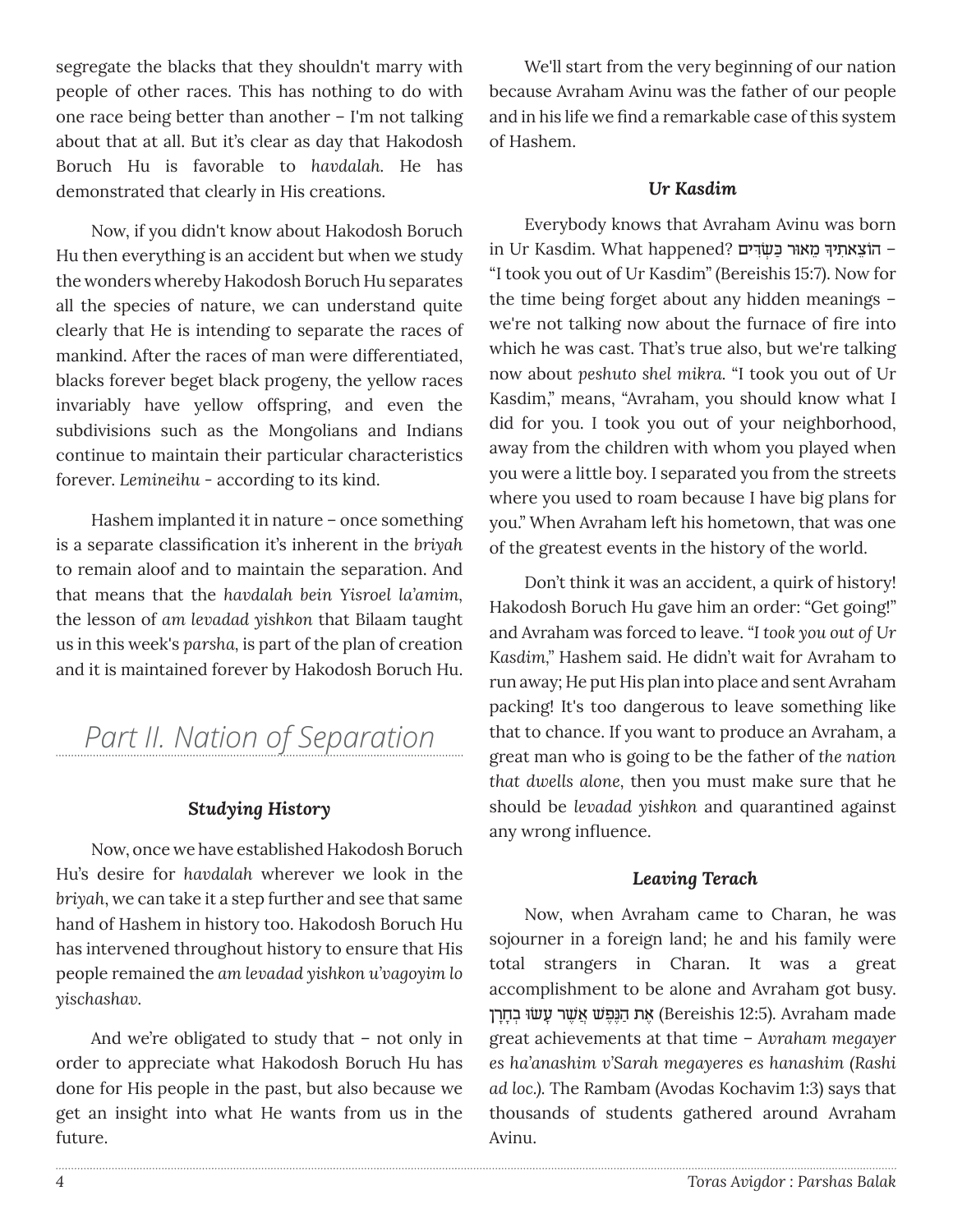segregate the blacks that they shouldn't marry with people of other races. This has nothing to do with one race being better than another – I'm not talking about that at all. But it's clear as day that Hakodosh Boruch Hu is favorable to *havdalah.* He has demonstrated that clearly in His creations.

Now, if you didn't know about Hakodosh Boruch Hu then everything is an accident but when we study the wonders whereby Hakodosh Boruch Hu separates all the species of nature, we can understand quite clearly that He is intending to separate the races of mankind. After the races of man were differentiated, blacks forever beget black progeny, the yellow races invariably have yellow offspring, and even the subdivisions such as the Mongolians and Indians continue to maintain their particular characteristics forever. *Lemineihu* - according to its kind.

Hashem implanted it in nature – once something is a separate classification it's inherent in the *briyah* to remain aloof and to maintain the separation. And that means that the *havdalah bein Yisroel la'amim,* the lesson of *am levadad yishkon* that Bilaam taught us in this week's *parsha,* is part of the plan of creation and it is maintained forever by Hakodosh Boruch Hu.

*Part II. Nation of Separation*

# *Studying History*

Now, once we have established Hakodosh Boruch Hu's desire for *havdalah* wherever we look in the *briyah*, we can take it a step further and see that same hand of Hashem in history too. Hakodosh Boruch Hu has intervened throughout history to ensure that His people remained the *am levadad yishkon u'vagoyim lo yischashav.*

And we're obligated to study that – not only in order to appreciate what Hakodosh Boruch Hu has done for His people in the past, but also because we get an insight into what He wants from us in the future.

We'll start from the very beginning of our nation because Avraham Avinu was the father of our people and in his life we find a remarkable case of this system of Hashem.

#### *Ur Kasdim*

Everybody knows that Avraham Avinu was born in Ur Kasdim. What happened? יהוצאתיך בּאוּר בַּשְׂדִּים <mark>-</mark> "I took you out of Ur Kasdim" (Bereishis 15:7). Now for the time being forget about any hidden meanings – we're not talking now about the furnace of fire into which he was cast. That's true also, but we're talking now about *peshuto shel mikra.* "I took you out of Ur Kasdim," means, "Avraham, you should know what I did for you. I took you out of your neighborhood, away from the children with whom you played when you were a little boy. I separated you from the streets where you used to roam because I have big plans for you." When Avraham left his hometown, that was one of the greatest events in the history of the world.

Don't think it was an accident, a quirk of history! Hakodosh Boruch Hu gave him an order: "Get going!" and Avraham was forced to leave. *"I took you out of Ur Kasdim,"* Hashem said. He didn't wait for Avraham to run away; He put His plan into place and sent Avraham packing! It's too dangerous to leave something like that to chance. If you want to produce an Avraham, a great man who is going to be the father of *the nation that dwells alone,* then you must make sure that he should be *levadad yishkon* and quarantined against any wrong influence.

#### *Leaving Terach*

Now, when Avraham came to Charan, he was sojourner in a foreign land; he and his family were total strangers in Charan. It was a great accomplishment to be alone and Avraham got busy. made Avraham *.*)12:5 Bereishis ˙‡∆ (ַה∆ּנ∆פ ׁ˘ ֲ ‡ ׁ∆˘ר ָע ׂ˘ּו ¿בָחָרן great achievements at that time – *Avraham megayer es ha'anashim v'Sarah megayeres es hanashim (Rashi ad loc.).* The Rambam (Avodas Kochavim 1:3) says that thousands of students gathered around Avraham Avinu.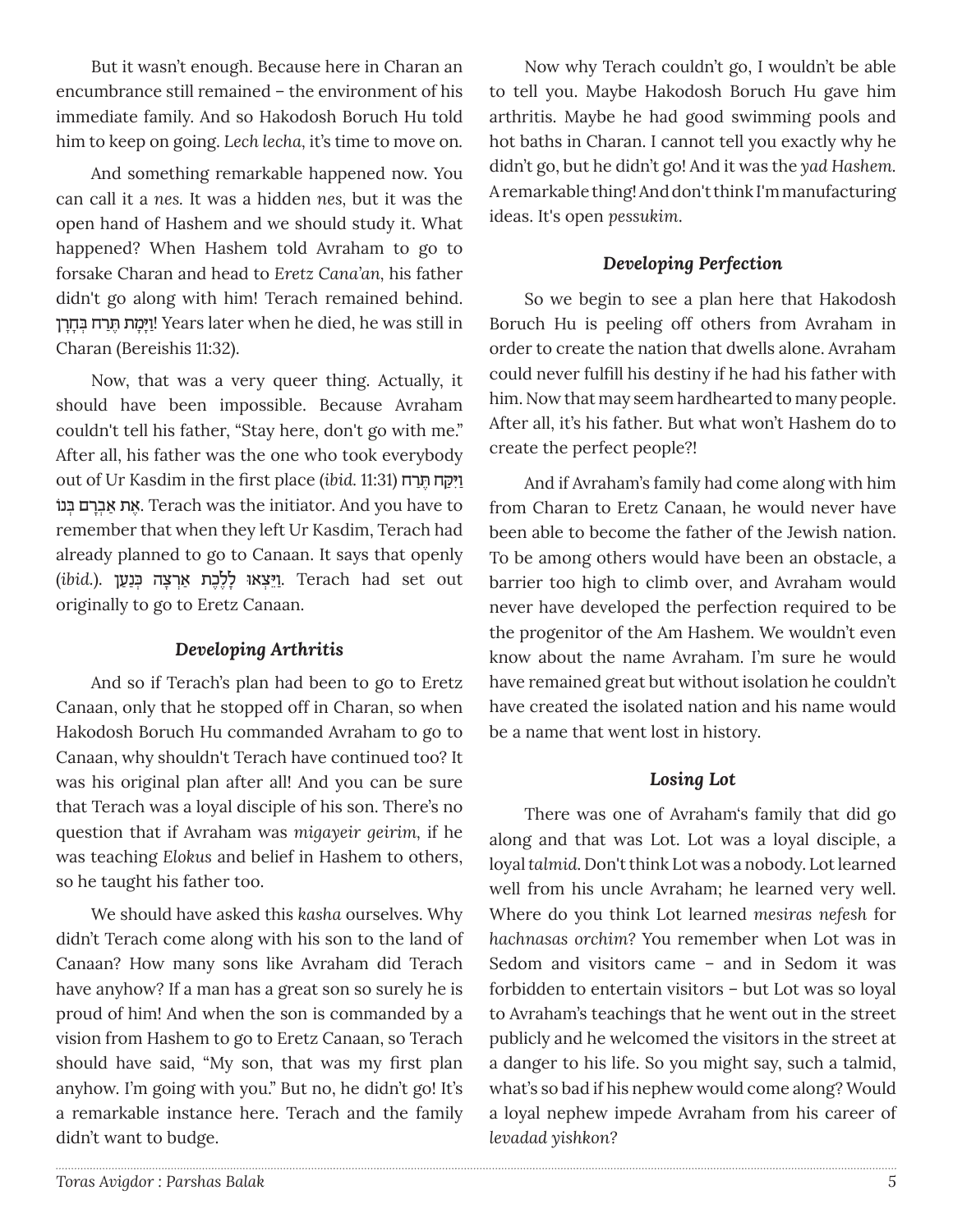But it wasn't enough. Because here in Charan an encumbrance still remained – the environment of his immediate family. And so Hakodosh Boruch Hu told him to keep on going. *Lech lecha,* it's time to move on*.*

And something remarkable happened now. You can call it a *nes.* It was a hidden *nes,* but it was the open hand of Hashem and we should study it. What happened? When Hashem told Avraham to go to forsake Charan and head to *Eretz Cana'an,* his father didn't go along with him! Terach remained behind. ּיָמ˙ ּ∆˙ַרח ¿ּבָחָרן ָוַ !Years later when he died, he was still in Charan (Bereishis 11:32).

Now, that was a very queer thing. Actually, it should have been impossible. Because Avraham couldn't tell his father, "Stay here, don't go with me." After all, his father was the one who took everybody out of Ur Kasdim in the first place (*ibid.* 11:31) רחַ∆˙ּ ח˜ַּ ּ ַוƒי נוֹ .Terach was the initiator. And you have to remember that when they left Ur Kasdim, Terach had already planned to go to Canaan. It says that openly ּי ¿ˆ‡ּו ָל∆ל∆כ˙ ַ ‡¿רָˆה ¿ּכַנַען .(*.ibid*( ≈וַ. Terach had set out originally to go to Eretz Canaan.

# *Developing Arthritis*

And so if Terach's plan had been to go to Eretz Canaan, only that he stopped off in Charan, so when Hakodosh Boruch Hu commanded Avraham to go to Canaan, why shouldn't Terach have continued too? It was his original plan after all! And you can be sure that Terach was a loyal disciple of his son. There's no question that if Avraham was *migayeir geirim,* if he was teaching *Elokus* and belief in Hashem to others, so he taught his father too.

We should have asked this *kasha* ourselves. Why didn't Terach come along with his son to the land of Canaan? How many sons like Avraham did Terach have anyhow? If a man has a great son so surely he is proud of him! And when the son is commanded by a vision from Hashem to go to Eretz Canaan, so Terach should have said, "My son, that was my first plan anyhow. I'm going with you." But no, he didn't go! It's a remarkable instance here. Terach and the family didn't want to budge.

Now why Terach couldn't go, I wouldn't be able to tell you. Maybe Hakodosh Boruch Hu gave him arthritis. Maybe he had good swimming pools and hot baths in Charan. I cannot tell you exactly why he didn't go, but he didn't go! And it was the *yad Hashem.*  A remarkable thing! And don't think I'm manufacturing ideas. It's open *pessukim*.

# *Developing Perfection*

So we begin to see a plan here that Hakodosh Boruch Hu is peeling off others from Avraham in order to create the nation that dwells alone. Avraham could never fulfill his destiny if he had his father with him. Now that may seem hardhearted to many people. After all, it's his father. But what won't Hashem do to create the perfect people?!

And if Avraham's family had come along with him from Charan to Eretz Canaan, he would never have been able to become the father of the Jewish nation. To be among others would have been an obstacle, a barrier too high to climb over, and Avraham would never have developed the perfection required to be the progenitor of the Am Hashem. We wouldn't even know about the name Avraham. I'm sure he would have remained great but without isolation he couldn't have created the isolated nation and his name would be a name that went lost in history.

# *Losing Lot*

There was one of Avraham's family that did go along and that was Lot. Lot was a loyal disciple, a loyal *talmid.* Don't think Lot was a nobody. Lot learned well from his uncle Avraham; he learned very well. Where do you think Lot learned *mesiras nefesh* for *hachnasas orchim?* You remember when Lot was in Sedom and visitors came – and in Sedom it was forbidden to entertain visitors – but Lot was so loyal to Avraham's teachings that he went out in the street publicly and he welcomed the visitors in the street at a danger to his life. So you might say, such a talmid, what's so bad if his nephew would come along? Would a loyal nephew impede Avraham from his career of *levadad yishkon?*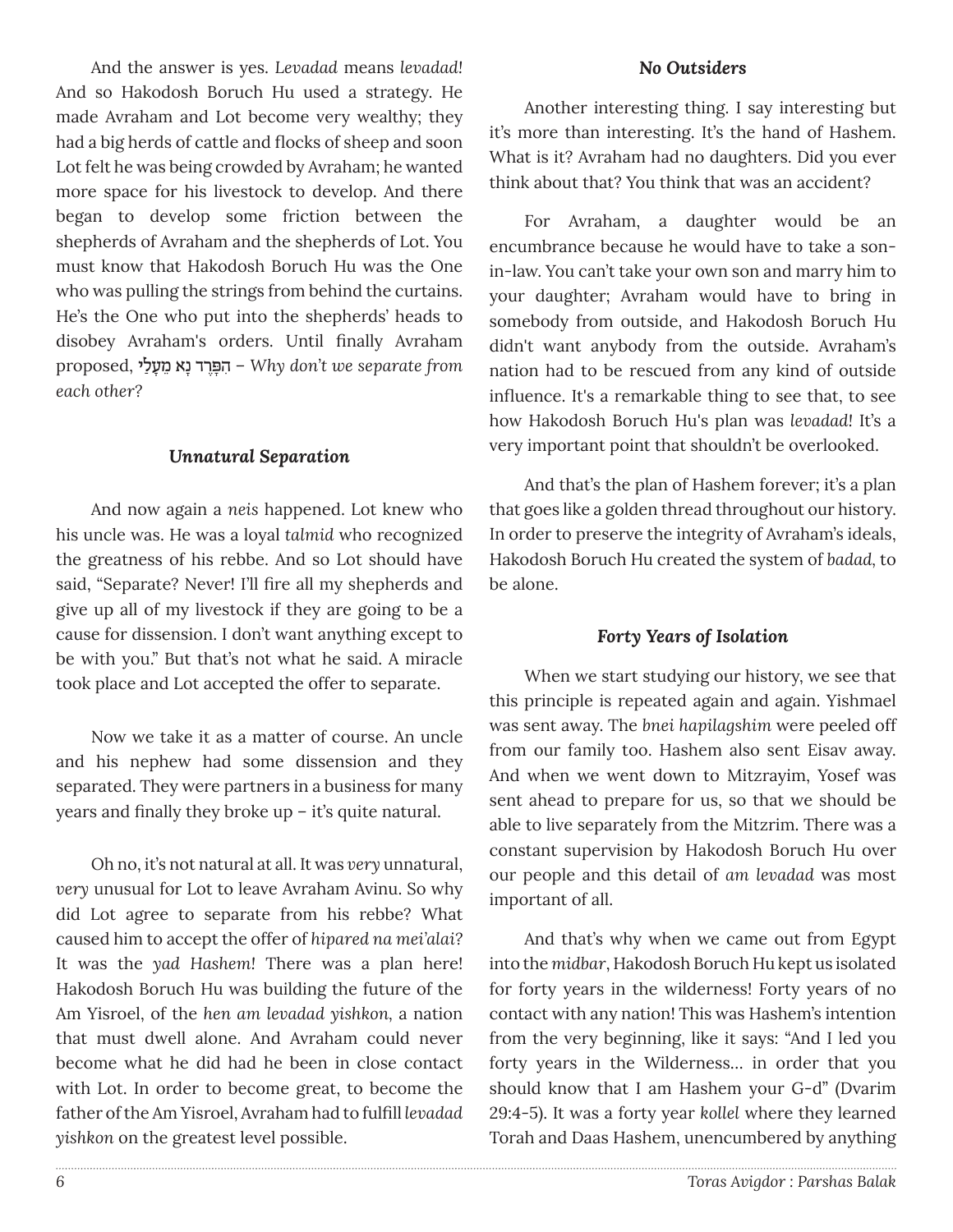And the answer is yes. *Levadad* means *levadad!*  And so Hakodosh Boruch Hu used a strategy. He made Avraham and Lot become very wealthy; they had a big herds of cattle and flocks of sheep and soon Lot felt he was being crowded by Avraham; he wanted more space for his livestock to develop. And there began to develop some friction between the shepherds of Avraham and the shepherds of Lot. You must know that Hakodosh Boruch Hu was the One who was pulling the strings from behind the curtains. He's the One who put into the shepherds' heads to disobey Avraham's orders. Until finally Avraham proposed, ליַעָמ‡ ≈נָ" ר∆פָּהƒ – *Why don't we separate from each other?* 

#### *Unnatural Separation*

And now again a *neis* happened. Lot knew who his uncle was. He was a loyal *talmid* who recognized the greatness of his rebbe. And so Lot should have said, "Separate? Never! I'll fire all my shepherds and give up all of my livestock if they are going to be a cause for dissension. I don't want anything except to be with you." But that's not what he said. A miracle took place and Lot accepted the offer to separate.

Now we take it as a matter of course. An uncle and his nephew had some dissension and they separated. They were partners in a business for many years and finally they broke up – it's quite natural.

Oh no, it's not natural at all. It was *very* unnatural, *very* unusual for Lot to leave Avraham Avinu. So why did Lot agree to separate from his rebbe? What caused him to accept the offer of *hipared na mei'alai?*  It was the *yad Hashem!* There was a plan here! Hakodosh Boruch Hu was building the future of the Am Yisroel, of the *hen am levadad yishkon,* a nation that must dwell alone. And Avraham could never become what he did had he been in close contact with Lot. In order to become great, to become the father of the Am Yisroel, Avraham had to fulfill *levadad yishkon* on the greatest level possible.

### *No Outsiders*

Another interesting thing. I say interesting but it's more than interesting. It's the hand of Hashem. What is it? Avraham had no daughters. Did you ever think about that? You think that was an accident?

For Avraham, a daughter would be an encumbrance because he would have to take a sonin-law. You can't take your own son and marry him to your daughter; Avraham would have to bring in somebody from outside, and Hakodosh Boruch Hu didn't want anybody from the outside. Avraham's nation had to be rescued from any kind of outside influence. It's a remarkable thing to see that, to see how Hakodosh Boruch Hu's plan was *levadad!* It's a very important point that shouldn't be overlooked.

And that's the plan of Hashem forever; it's a plan that goes like a golden thread throughout our history. In order to preserve the integrity of Avraham's ideals, Hakodosh Boruch Hu created the system of *badad,* to be alone.

#### *Forty Years of Isolation*

When we start studying our history, we see that this principle is repeated again and again. Yishmael was sent away. The *bnei hapilagshim* were peeled off from our family too. Hashem also sent Eisav away. And when we went down to Mitzrayim, Yosef was sent ahead to prepare for us, so that we should be able to live separately from the Mitzrim. There was a constant supervision by Hakodosh Boruch Hu over our people and this detail of *am levadad* was most important of all.

And that's why when we came out from Egypt into the *midbar*, Hakodosh Boruch Hu kept us isolated for forty years in the wilderness! Forty years of no contact with any nation! This was Hashem's intention from the very beginning, like it says: "And I led you forty years in the Wilderness… in order that you should know that I am Hashem your G-d" (Dvarim 29:4-5). It was a forty year *kollel* where they learned Torah and Daas Hashem, unencumbered by anything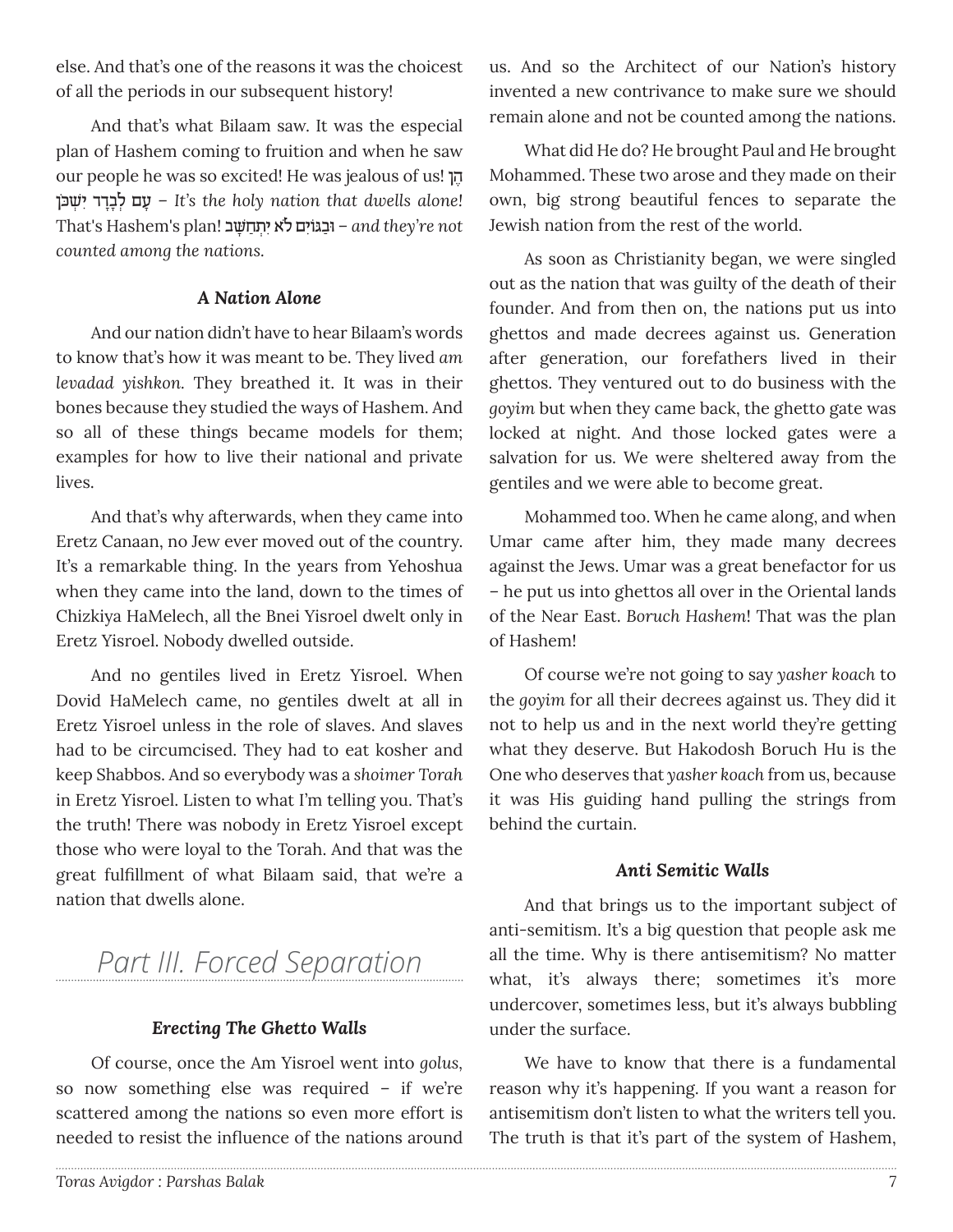else. And that's one of the reasons it was the choicest of all the periods in our subsequent history!

And that's what Bilaam saw. It was the especial plan of Hashem coming to fruition and when he saw our people he was so excited! He was jealous of us! הן∆ כןֹ ּ¿˘ ׁ יƒ ""ָבָל ¿עםָ – *It's the holy nation that dwells alone!* That's Hashem's plan! ב˘ָּׁ חַ ¿˙יƒ ‡ֹל יםƒוֹ'ּ בַוּ – *and they're not counted among the nations.* 

### *A Nation Alone*

And our nation didn't have to hear Bilaam's words to know that's how it was meant to be. They lived *am levadad yishkon.* They breathed it. It was in their bones because they studied the ways of Hashem. And so all of these things became models for them; examples for how to live their national and private lives.

And that's why afterwards, when they came into Eretz Canaan, no Jew ever moved out of the country. It's a remarkable thing. In the years from Yehoshua when they came into the land, down to the times of Chizkiya HaMelech, all the Bnei Yisroel dwelt only in Eretz Yisroel. Nobody dwelled outside.

And no gentiles lived in Eretz Yisroel. When Dovid HaMelech came, no gentiles dwelt at all in Eretz Yisroel unless in the role of slaves. And slaves had to be circumcised. They had to eat kosher and keep Shabbos. And so everybody was a *shoimer Torah* in Eretz Yisroel. Listen to what I'm telling you. That's the truth! There was nobody in Eretz Yisroel except those who were loyal to the Torah. And that was the great fulfillment of what Bilaam said, that we're a nation that dwells alone.

# *Part III. Forced Separation*

# *Erecting The Ghetto Walls*

Of course, once the Am Yisroel went into *golus,*  so now something else was required – if we're scattered among the nations so even more effort is needed to resist the influence of the nations around

us. And so the Architect of our Nation's history invented a new contrivance to make sure we should remain alone and not be counted among the nations.

What did He do? He brought Paul and He brought Mohammed. These two arose and they made on their own, big strong beautiful fences to separate the Jewish nation from the rest of the world.

As soon as Christianity began, we were singled out as the nation that was guilty of the death of their founder. And from then on, the nations put us into ghettos and made decrees against us. Generation after generation, our forefathers lived in their ghettos. They ventured out to do business with the *goyim* but when they came back, the ghetto gate was locked at night. And those locked gates were a salvation for us. We were sheltered away from the gentiles and we were able to become great.

Mohammed too. When he came along, and when Umar came after him, they made many decrees against the Jews. Umar was a great benefactor for us – he put us into ghettos all over in the Oriental lands of the Near East. *Boruch Hashem*! That was the plan of Hashem!

Of course we're not going to say *yasher koach* to the *goyim* for all their decrees against us. They did it not to help us and in the next world they're getting what they deserve. But Hakodosh Boruch Hu is the One who deserves that *yasher koach* from us, because it was His guiding hand pulling the strings from behind the curtain.

# *Anti Semitic Walls*

And that brings us to the important subject of anti-semitism. It's a big question that people ask me all the time. Why is there antisemitism? No matter what, it's always there; sometimes it's more undercover, sometimes less, but it's always bubbling under the surface.

We have to know that there is a fundamental reason why it's happening. If you want a reason for antisemitism don't listen to what the writers tell you. The truth is that it's part of the system of Hashem,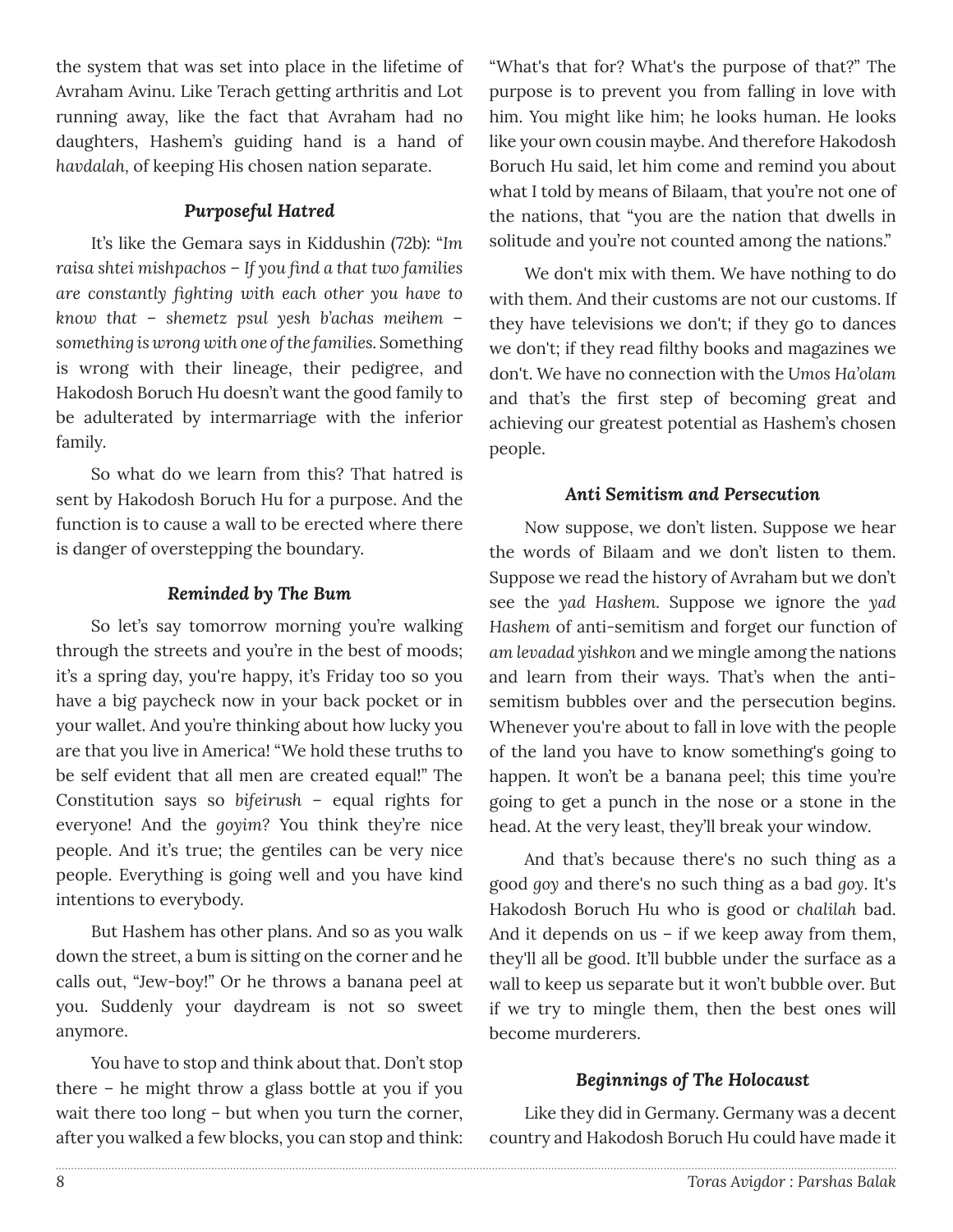the system that was set into place in the lifetime of Avraham Avinu. Like Terach getting arthritis and Lot running away, like the fact that Avraham had no daughters, Hashem's guiding hand is a hand of *havdalah,* of keeping His chosen nation separate.

# *Purposeful Hatred*

It's like the Gemara says in Kiddushin (72b): "*Im raisa shtei mishpachos* – *If you find a that two families are constantly fighting with each other you have to know that* – *shemetz psul yesh b'achas meihem* – *something is wrong with one of the families.* Something is wrong with their lineage, their pedigree, and Hakodosh Boruch Hu doesn't want the good family to be adulterated by intermarriage with the inferior family.

So what do we learn from this? That hatred is sent by Hakodosh Boruch Hu for a purpose. And the function is to cause a wall to be erected where there is danger of overstepping the boundary.

# *Reminded by The Bum*

So let's say tomorrow morning you're walking through the streets and you're in the best of moods; it's a spring day, you're happy, it's Friday too so you have a big paycheck now in your back pocket or in your wallet. And you're thinking about how lucky you are that you live in America! "We hold these truths to be self evident that all men are created equal!" The Constitution says so *bifeirush* – equal rights for everyone! And the *goyim?* You think they're nice people. And it's true; the gentiles can be very nice people. Everything is going well and you have kind intentions to everybody.

But Hashem has other plans. And so as you walk down the street, a bum is sitting on the corner and he calls out, "Jew-boy!" Or he throws a banana peel at you. Suddenly your daydream is not so sweet anymore.

You have to stop and think about that. Don't stop there – he might throw a glass bottle at you if you wait there too long – but when you turn the corner, after you walked a few blocks, you can stop and think: "What's that for? What's the purpose of that?" The purpose is to prevent you from falling in love with him. You might like him; he looks human. He looks like your own cousin maybe. And therefore Hakodosh Boruch Hu said, let him come and remind you about what I told by means of Bilaam, that you're not one of the nations, that "you are the nation that dwells in solitude and you're not counted among the nations."

We don't mix with them. We have nothing to do with them. And their customs are not our customs. If they have televisions we don't; if they go to dances we don't; if they read filthy books and magazines we don't. We have no connection with the *Umos Ha'olam*  and that's the first step of becoming great and achieving our greatest potential as Hashem's chosen people.

# *Anti Semitism and Persecution*

Now suppose, we don't listen. Suppose we hear the words of Bilaam and we don't listen to them. Suppose we read the history of Avraham but we don't see the *yad Hashem.* Suppose we ignore the *yad Hashem* of anti-semitism and forget our function of *am levadad yishkon* and we mingle among the nations and learn from their ways. That's when the antisemitism bubbles over and the persecution begins. Whenever you're about to fall in love with the people of the land you have to know something's going to happen. It won't be a banana peel; this time you're going to get a punch in the nose or a stone in the head. At the very least, they'll break your window.

And that's because there's no such thing as a good *goy* and there's no such thing as a bad *goy*. It's Hakodosh Boruch Hu who is good or *chalilah* bad. And it depends on us – if we keep away from them, they'll all be good. It'll bubble under the surface as a wall to keep us separate but it won't bubble over. But if we try to mingle them, then the best ones will become murderers.

# *Beginnings of The Holocaust*

Like they did in Germany. Germany was a decent country and Hakodosh Boruch Hu could have made it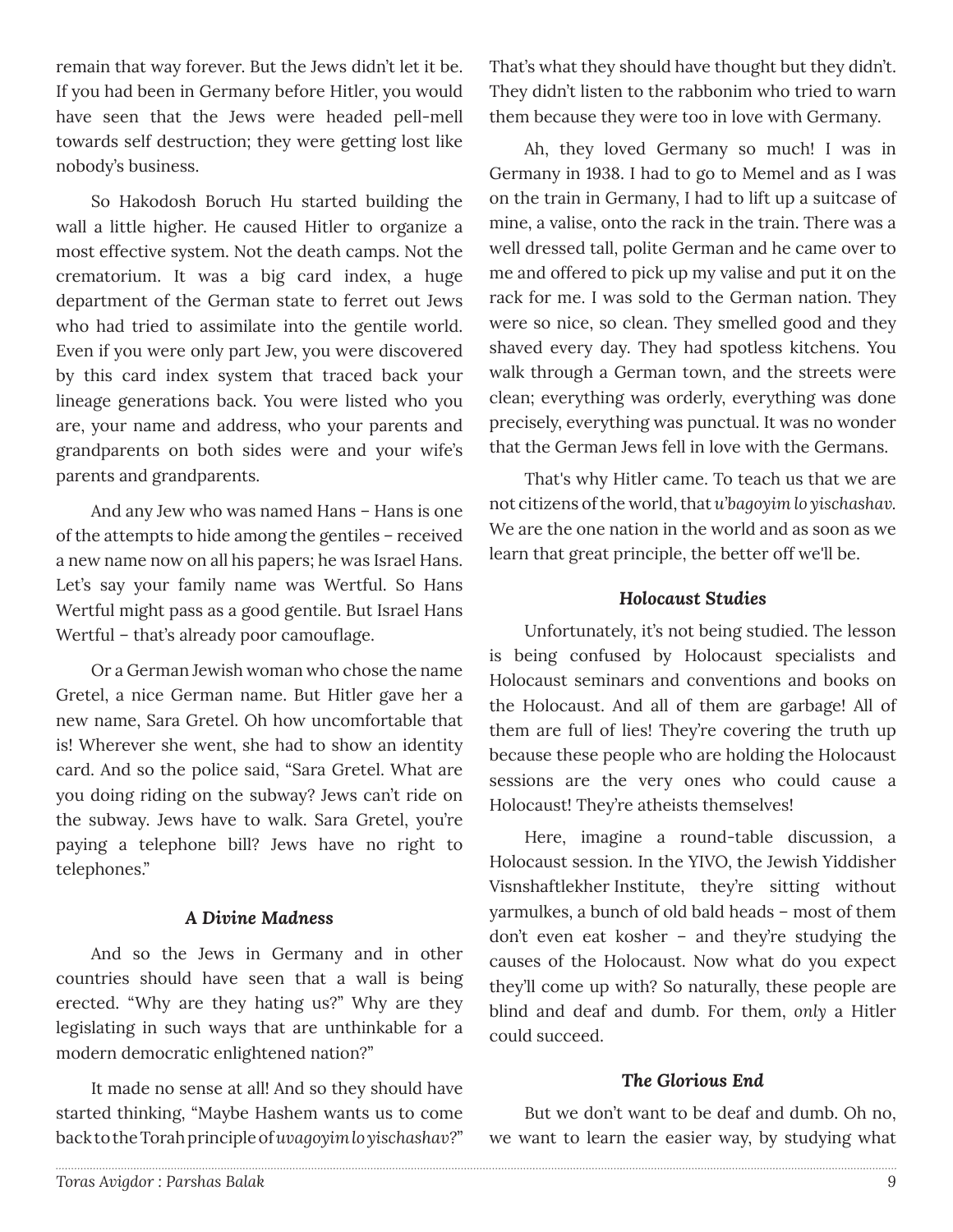remain that way forever. But the Jews didn't let it be. If you had been in Germany before Hitler, you would have seen that the Jews were headed pell-mell towards self destruction; they were getting lost like nobody's business.

So Hakodosh Boruch Hu started building the wall a little higher. He caused Hitler to organize a most effective system. Not the death camps. Not the crematorium. It was a big card index, a huge department of the German state to ferret out Jews who had tried to assimilate into the gentile world. Even if you were only part Jew, you were discovered by this card index system that traced back your lineage generations back. You were listed who you are, your name and address, who your parents and grandparents on both sides were and your wife's parents and grandparents.

And any Jew who was named Hans – Hans is one of the attempts to hide among the gentiles – received a new name now on all his papers; he was Israel Hans. Let's say your family name was Wertful. So Hans Wertful might pass as a good gentile. But Israel Hans Wertful – that's already poor camouflage.

Or a German Jewish woman who chose the name Gretel, a nice German name. But Hitler gave her a new name, Sara Gretel. Oh how uncomfortable that is! Wherever she went, she had to show an identity card. And so the police said, "Sara Gretel. What are you doing riding on the subway? Jews can't ride on the subway. Jews have to walk. Sara Gretel, you're paying a telephone bill? Jews have no right to telephones."

#### *A Divine Madness*

And so the Jews in Germany and in other countries should have seen that a wall is being erected. "Why are they hating us?" Why are they legislating in such ways that are unthinkable for a modern democratic enlightened nation?"

It made no sense at all! And so they should have started thinking, "Maybe Hashem wants us to come back to the Torah principle of *uvagoyim lo yischashav?*" That's what they should have thought but they didn't. They didn't listen to the rabbonim who tried to warn them because they were too in love with Germany.

Ah, they loved Germany so much! I was in Germany in 1938. I had to go to Memel and as I was on the train in Germany, I had to lift up a suitcase of mine, a valise, onto the rack in the train. There was a well dressed tall, polite German and he came over to me and offered to pick up my valise and put it on the rack for me. I was sold to the German nation. They were so nice, so clean. They smelled good and they shaved every day. They had spotless kitchens. You walk through a German town, and the streets were clean; everything was orderly, everything was done precisely, everything was punctual. It was no wonder that the German Jews fell in love with the Germans.

That's why Hitler came. To teach us that we are not citizens of the world, that *u'bagoyim lo yischashav.*  We are the one nation in the world and as soon as we learn that great principle, the better off we'll be.

# *Holocaust Studies*

Unfortunately, it's not being studied. The lesson is being confused by Holocaust specialists and Holocaust seminars and conventions and books on the Holocaust. And all of them are garbage! All of them are full of lies! They're covering the truth up because these people who are holding the Holocaust sessions are the very ones who could cause a Holocaust! They're atheists themselves!

Here, imagine a round-table discussion, a Holocaust session. In the YIVO, the Jewish Yiddisher Visnshaftlekher Institute, they're sitting without yarmulkes, a bunch of old bald heads – most of them don't even eat kosher – and they're studying the causes of the Holocaust. Now what do you expect they'll come up with? So naturally, these people are blind and deaf and dumb. For them, *only* a Hitler could succeed.

# *The Glorious End*

But we don't want to be deaf and dumb. Oh no, we want to learn the easier way, by studying what